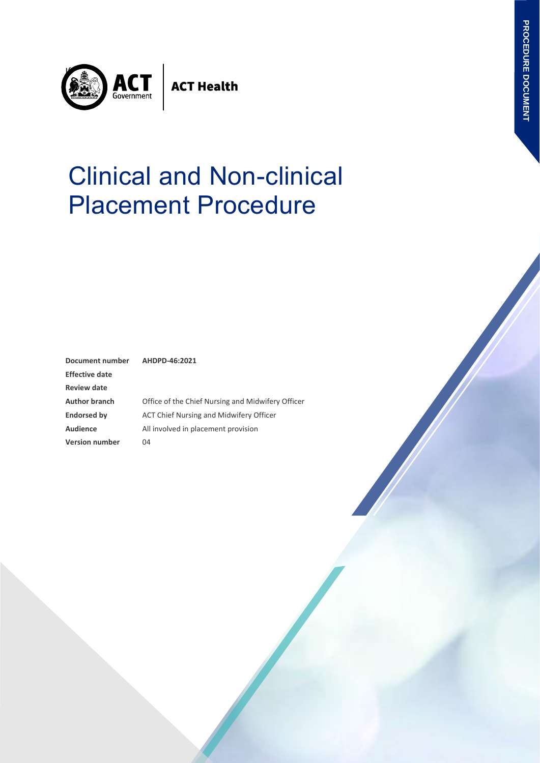

**ACT Health** 

# Clinical and Non-clinical Placement Procedure

| <b>Document number</b> | AHDPD-46:2021                                     |  |
|------------------------|---------------------------------------------------|--|
| <b>Effective date</b>  |                                                   |  |
| <b>Review date</b>     |                                                   |  |
| <b>Author branch</b>   | Office of the Chief Nursing and Midwifery Officer |  |
| <b>Endorsed by</b>     | ACT Chief Nursing and Midwifery Officer           |  |
| <b>Audience</b>        | All involved in placement provision               |  |
| <b>Version number</b>  | 04                                                |  |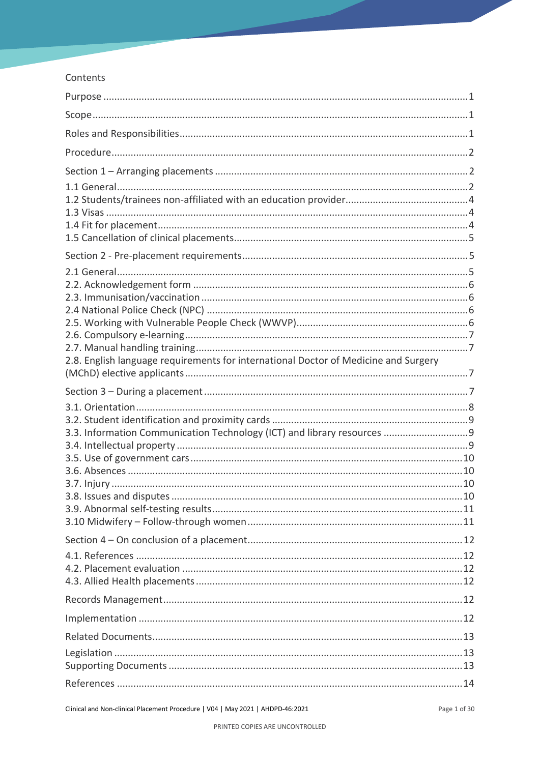#### Contents

| 2.8. English language requirements for international Doctor of Medicine and Surgery |  |
|-------------------------------------------------------------------------------------|--|
|                                                                                     |  |
|                                                                                     |  |
| 3.3. Information Communication Technology (ICT) and library resources  9            |  |
|                                                                                     |  |
|                                                                                     |  |
|                                                                                     |  |
|                                                                                     |  |
|                                                                                     |  |
|                                                                                     |  |
|                                                                                     |  |
|                                                                                     |  |
|                                                                                     |  |
|                                                                                     |  |
|                                                                                     |  |
|                                                                                     |  |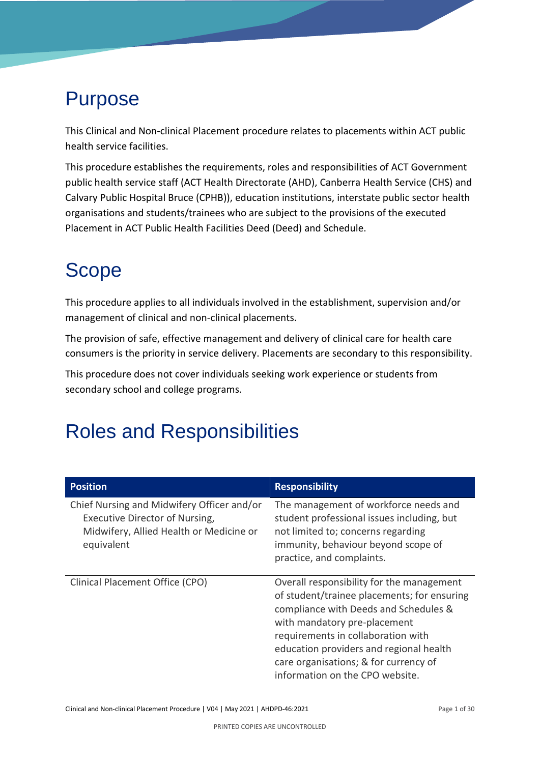# <span id="page-3-0"></span>Purpose

This Clinical and Non-clinical Placement procedure relates to placements within ACT public health service facilities.

This procedure establishes the requirements, roles and responsibilities of ACT Government public health service staff (ACT Health Directorate (AHD), Canberra Health Service (CHS) and Calvary Public Hospital Bruce (CPHB)), education institutions, interstate public sector health organisations and students/trainees who are subject to the provisions of the executed Placement in ACT Public Health Facilities Deed (Deed) and Schedule.

# <span id="page-3-1"></span>Scope

This procedure applies to all individuals involved in the establishment, supervision and/or management of clinical and non-clinical placements.

The provision of safe, effective management and delivery of clinical care for health care consumers is the priority in service delivery. Placements are secondary to this responsibility.

This procedure does not cover individuals seeking work experience or students from secondary school and college programs.

# <span id="page-3-2"></span>Roles and Responsibilities

| <b>Position</b>                                                                                                                       | <b>Responsibility</b>                                                                                                                                                                                                                                                                                                          |
|---------------------------------------------------------------------------------------------------------------------------------------|--------------------------------------------------------------------------------------------------------------------------------------------------------------------------------------------------------------------------------------------------------------------------------------------------------------------------------|
| Chief Nursing and Midwifery Officer and/or<br>Executive Director of Nursing,<br>Midwifery, Allied Health or Medicine or<br>equivalent | The management of workforce needs and<br>student professional issues including, but<br>not limited to; concerns regarding<br>immunity, behaviour beyond scope of<br>practice, and complaints.                                                                                                                                  |
| Clinical Placement Office (CPO)                                                                                                       | Overall responsibility for the management<br>of student/trainee placements; for ensuring<br>compliance with Deeds and Schedules &<br>with mandatory pre-placement<br>requirements in collaboration with<br>education providers and regional health<br>care organisations; & for currency of<br>information on the CPO website. |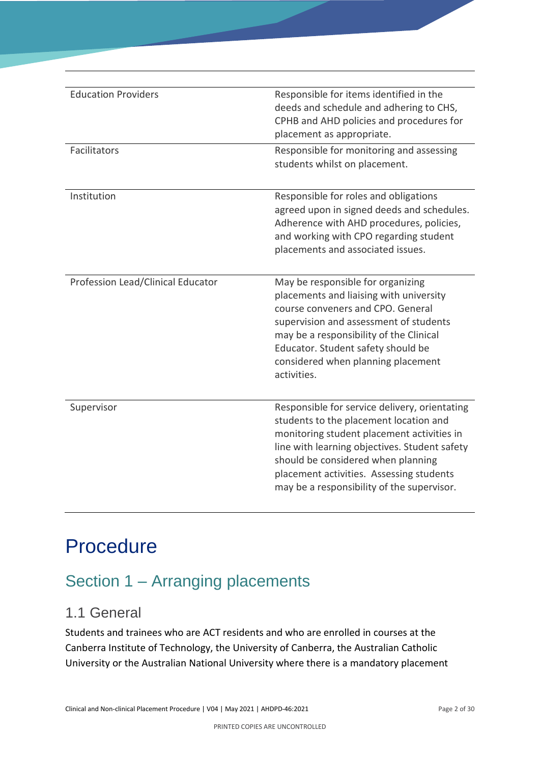| <b>Education Providers</b>        | Responsible for items identified in the<br>deeds and schedule and adhering to CHS,<br>CPHB and AHD policies and procedures for<br>placement as appropriate.                                                                                                                                                            |
|-----------------------------------|------------------------------------------------------------------------------------------------------------------------------------------------------------------------------------------------------------------------------------------------------------------------------------------------------------------------|
| Facilitators                      | Responsible for monitoring and assessing<br>students whilst on placement.                                                                                                                                                                                                                                              |
| Institution                       | Responsible for roles and obligations<br>agreed upon in signed deeds and schedules.<br>Adherence with AHD procedures, policies,<br>and working with CPO regarding student<br>placements and associated issues.                                                                                                         |
| Profession Lead/Clinical Educator | May be responsible for organizing<br>placements and liaising with university<br>course conveners and CPO. General<br>supervision and assessment of students<br>may be a responsibility of the Clinical<br>Educator. Student safety should be<br>considered when planning placement<br>activities.                      |
| Supervisor                        | Responsible for service delivery, orientating<br>students to the placement location and<br>monitoring student placement activities in<br>line with learning objectives. Student safety<br>should be considered when planning<br>placement activities. Assessing students<br>may be a responsibility of the supervisor. |

# <span id="page-4-0"></span>Procedure

## <span id="page-4-1"></span>Section 1 – Arranging placements

### <span id="page-4-2"></span>1.1 General

Students and trainees who are ACT residents and who are enrolled in courses at the Canberra Institute of Technology, the University of Canberra, the Australian Catholic University or the Australian National University where there is a mandatory placement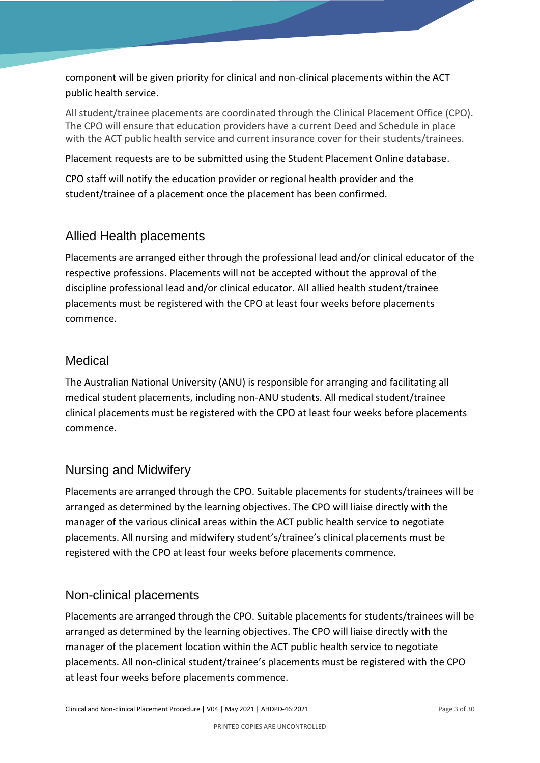component will be given priority for clinical and non-clinical placements within the ACT public health service.

All student/trainee placements are coordinated through the Clinical Placement Office (CPO). The CPO will ensure that education providers have a current Deed and Schedule in place with the ACT public health service and current insurance cover for their students/trainees.

Placement requests are to be submitted using the Student Placement Online database.

CPO staff will notify the education provider or regional health provider and the student/trainee of a placement once the placement has been confirmed.

#### Allied Health placements

Placements are arranged either through the professional lead and/or clinical educator of the respective professions. Placements will not be accepted without the approval of the discipline professional lead and/or clinical educator. All allied health student/trainee placements must be registered with the CPO at least four weeks before placements commence.

#### **Medical**

The Australian National University (ANU) is responsible for arranging and facilitating all medical student placements, including non-ANU students. All medical student/trainee clinical placements must be registered with the CPO at least four weeks before placements commence.

#### Nursing and Midwifery

Placements are arranged through the CPO. Suitable placements for students/trainees will be arranged as determined by the learning objectives. The CPO will liaise directly with the manager of the various clinical areas within the ACT public health service to negotiate placements. All nursing and midwifery student's/trainee's clinical placements must be registered with the CPO at least four weeks before placements commence.

#### Non-clinical placements

Placements are arranged through the CPO. Suitable placements for students/trainees will be arranged as determined by the learning objectives. The CPO will liaise directly with the manager of the placement location within the ACT public health service to negotiate placements. All non-clinical student/trainee's placements must be registered with the CPO at least four weeks before placements commence.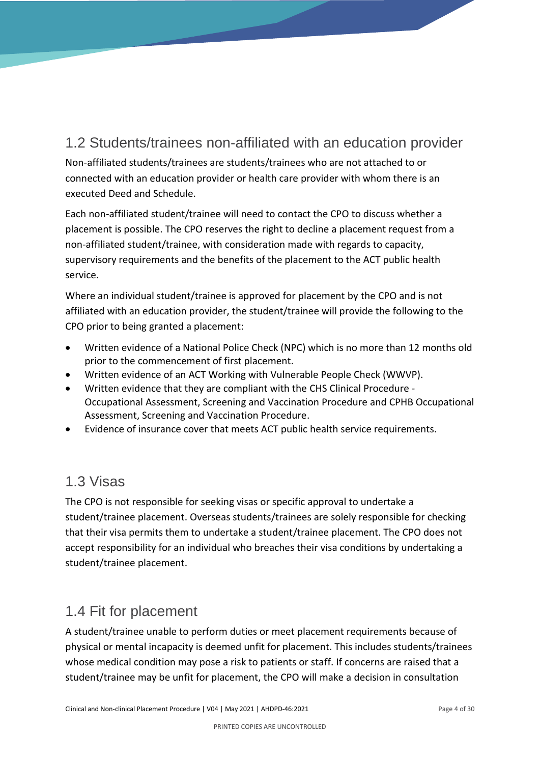### <span id="page-6-0"></span>1.2 Students/trainees non-affiliated with an education provider

Non-affiliated students/trainees are students/trainees who are not attached to or connected with an education provider or health care provider with whom there is an executed Deed and Schedule.

Each non-affiliated student/trainee will need to contact the CPO to discuss whether a placement is possible. The CPO reserves the right to decline a placement request from a non-affiliated student/trainee, with consideration made with regards to capacity, supervisory requirements and the benefits of the placement to the ACT public health service.

Where an individual student/trainee is approved for placement by the CPO and is not affiliated with an education provider, the student/trainee will provide the following to the CPO prior to being granted a placement:

- Written evidence of a National Police Check (NPC) which is no more than 12 months old prior to the commencement of first placement.
- Written evidence of an ACT Working with Vulnerable People Check (WWVP).
- Written evidence that they are compliant with the CHS Clinical Procedure Occupational Assessment, Screening and Vaccination Procedure and CPHB Occupational Assessment, Screening and Vaccination Procedure.
- Evidence of insurance cover that meets ACT public health service requirements.

### <span id="page-6-1"></span>1.3 Visas

The CPO is not responsible for seeking visas or specific approval to undertake a student/trainee placement. Overseas students/trainees are solely responsible for checking that their visa permits them to undertake a student/trainee placement. The CPO does not accept responsibility for an individual who breaches their visa conditions by undertaking a student/trainee placement.

### <span id="page-6-2"></span>1.4 Fit for placement

A student/trainee unable to perform duties or meet placement requirements because of physical or mental incapacity is deemed unfit for placement. This includes students/trainees whose medical condition may pose a risk to patients or staff. If concerns are raised that a student/trainee may be unfit for placement, the CPO will make a decision in consultation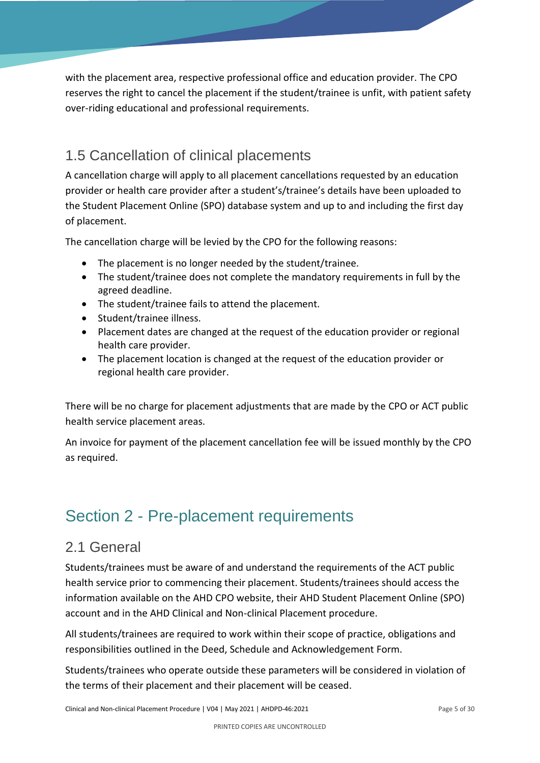with the placement area, respective professional office and education provider. The CPO reserves the right to cancel the placement if the student/trainee is unfit, with patient safety over-riding educational and professional requirements.

### <span id="page-7-0"></span>1.5 Cancellation of clinical placements

A cancellation charge will apply to all placement cancellations requested by an education provider or health care provider after a student's/trainee's details have been uploaded to the Student Placement Online (SPO) database system and up to and including the first day of placement.

The cancellation charge will be levied by the CPO for the following reasons:

- The placement is no longer needed by the student/trainee.
- The student/trainee does not complete the mandatory requirements in full by the agreed deadline.
- The student/trainee fails to attend the placement.
- Student/trainee illness.
- Placement dates are changed at the request of the education provider or regional health care provider.
- The placement location is changed at the request of the education provider or regional health care provider.

There will be no charge for placement adjustments that are made by the CPO or ACT public health service placement areas.

An invoice for payment of the placement cancellation fee will be issued monthly by the CPO as required.

### <span id="page-7-1"></span>Section 2 - Pre-placement requirements

### <span id="page-7-2"></span>2.1 General

Students/trainees must be aware of and understand the requirements of the ACT public health service prior to commencing their placement. Students/trainees should access the information available on the AHD CPO website, their AHD Student Placement Online (SPO) account and in the AHD Clinical and Non-clinical Placement procedure.

All students/trainees are required to work within their scope of practice, obligations and responsibilities outlined in the Deed, Schedule and Acknowledgement Form.

Students/trainees who operate outside these parameters will be considered in violation of the terms of their placement and their placement will be ceased.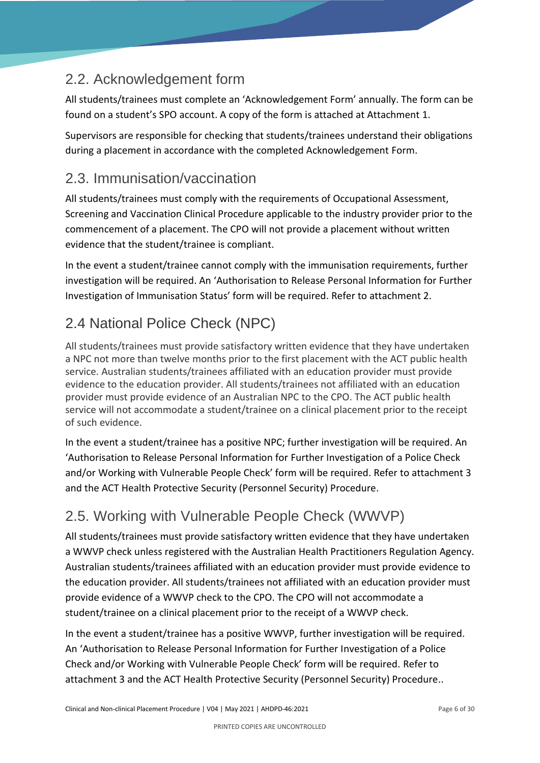### <span id="page-8-0"></span>2.2. Acknowledgement form

All students/trainees must complete an 'Acknowledgement Form' annually. The form can be found on a student's SPO account. A copy of the form is attached at Attachment 1.

Supervisors are responsible for checking that students/trainees understand their obligations during a placement in accordance with the completed Acknowledgement Form.

### <span id="page-8-1"></span>2.3. Immunisation/vaccination

All students/trainees must comply with the requirements of Occupational Assessment, Screening and Vaccination Clinical Procedure applicable to the industry provider prior to the commencement of a placement. The CPO will not provide a placement without written evidence that the student/trainee is compliant.

In the event a student/trainee cannot comply with the immunisation requirements, further investigation will be required. An 'Authorisation to Release Personal Information for Further Investigation of Immunisation Status' form will be required. Refer to attachment 2.

### <span id="page-8-2"></span>2.4 National Police Check (NPC)

All students/trainees must provide satisfactory written evidence that they have undertaken a NPC not more than twelve months prior to the first placement with the ACT public health service. Australian students/trainees affiliated with an education provider must provide evidence to the education provider. All students/trainees not affiliated with an education provider must provide evidence of an Australian NPC to the CPO. The ACT public health service will not accommodate a student/trainee on a clinical placement prior to the receipt of such evidence.

In the event a student/trainee has a positive NPC; further investigation will be required. An 'Authorisation to Release Personal Information for Further Investigation of a Police Check and/or Working with Vulnerable People Check' form will be required. Refer to attachment 3 and the ACT Health Protective Security (Personnel Security) Procedure.

### <span id="page-8-3"></span>2.5. Working with Vulnerable People Check (WWVP)

All students/trainees must provide satisfactory written evidence that they have undertaken a WWVP check unless registered with the Australian Health Practitioners Regulation Agency. Australian students/trainees affiliated with an education provider must provide evidence to the education provider. All students/trainees not affiliated with an education provider must provide evidence of a WWVP check to the CPO. The CPO will not accommodate a student/trainee on a clinical placement prior to the receipt of a WWVP check.

In the event a student/trainee has a positive WWVP, further investigation will be required. An 'Authorisation to Release Personal Information for Further Investigation of a Police Check and/or Working with Vulnerable People Check' form will be required. Refer to attachment 3 and the ACT Health Protective Security (Personnel Security) Procedure..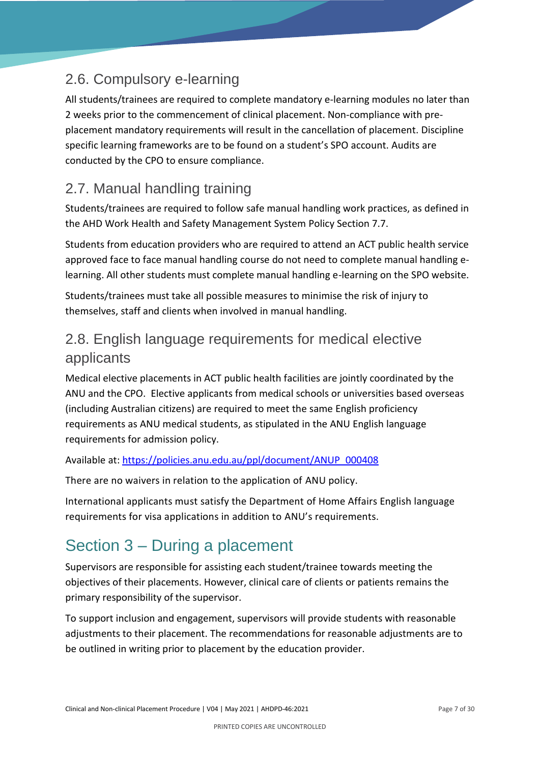### <span id="page-9-0"></span>2.6. Compulsory e-learning

All students/trainees are required to complete mandatory e-learning modules no later than 2 weeks prior to the commencement of clinical placement. Non-compliance with preplacement mandatory requirements will result in the cancellation of placement. Discipline specific learning frameworks are to be found on a student's SPO account. Audits are conducted by the CPO to ensure compliance.

### <span id="page-9-1"></span>2.7. Manual handling training

Students/trainees are required to follow safe manual handling work practices, as defined in the AHD Work Health and Safety Management System Policy Section 7.7.

Students from education providers who are required to attend an ACT public health service approved face to face manual handling course do not need to complete manual handling elearning. All other students must complete manual handling e-learning on the SPO website.

Students/trainees must take all possible measures to minimise the risk of injury to themselves, staff and clients when involved in manual handling.

### <span id="page-9-2"></span>2.8. English language requirements for medical elective applicants

Medical elective placements in ACT public health facilities are jointly coordinated by the ANU and the CPO. Elective applicants from medical schools or universities based overseas (including Australian citizens) are required to meet the same English proficiency requirements as ANU medical students, as stipulated in the ANU English language requirements for admission policy.

#### Available at: [https://policies.anu.edu.au/ppl/document/ANUP\\_000408](https://policies.anu.edu.au/ppl/document/ANUP_000408)

There are no waivers in relation to the application of ANU policy.

International applicants must satisfy the Department of Home Affairs English language requirements for visa applications in addition to ANU's requirements.

## <span id="page-9-3"></span>Section 3 – During a placement

Supervisors are responsible for assisting each student/trainee towards meeting the objectives of their placements. However, clinical care of clients or patients remains the primary responsibility of the supervisor.

To support inclusion and engagement, supervisors will provide students with reasonable adjustments to their placement. The recommendations for reasonable adjustments are to be outlined in writing prior to placement by the education provider.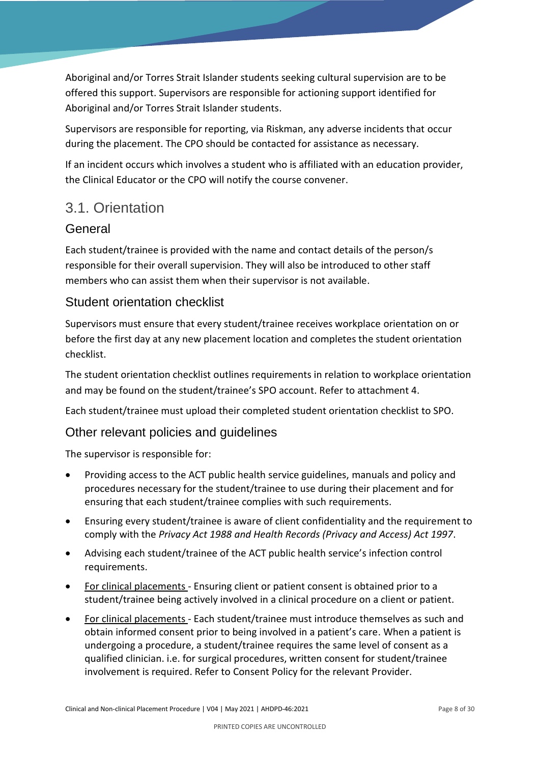Aboriginal and/or Torres Strait Islander students seeking cultural supervision are to be offered this support. Supervisors are responsible for actioning support identified for Aboriginal and/or Torres Strait Islander students.

Supervisors are responsible for reporting, via Riskman, any adverse incidents that occur during the placement. The CPO should be contacted for assistance as necessary.

If an incident occurs which involves a student who is affiliated with an education provider, the Clinical Educator or the CPO will notify the course convener.

### <span id="page-10-0"></span>3.1. Orientation

#### **General**

Each student/trainee is provided with the name and contact details of the person/s responsible for their overall supervision. They will also be introduced to other staff members who can assist them when their supervisor is not available.

#### Student orientation checklist

Supervisors must ensure that every student/trainee receives workplace orientation on or before the first day at any new placement location and completes the student orientation checklist.

The student orientation checklist outlines requirements in relation to workplace orientation and may be found on the student/trainee's SPO account. Refer to attachment 4.

Each student/trainee must upload their completed student orientation checklist to SPO.

#### Other relevant policies and guidelines

The supervisor is responsible for:

- Providing access to the ACT public health service guidelines, manuals and policy and procedures necessary for the student/trainee to use during their placement and for ensuring that each student/trainee complies with such requirements.
- Ensuring every student/trainee is aware of client confidentiality and the requirement to comply with the *Privacy Act 1988 and Health Records (Privacy and Access) Act 1997*.
- Advising each student/trainee of the ACT public health service's infection control requirements.
- For clinical placements Ensuring client or patient consent is obtained prior to a student/trainee being actively involved in a clinical procedure on a client or patient.
- For clinical placements Each student/trainee must introduce themselves as such and obtain informed consent prior to being involved in a patient's care. When a patient is undergoing a procedure, a student/trainee requires the same level of consent as a qualified clinician. i.e. for surgical procedures, written consent for student/trainee involvement is required. Refer to Consent Policy for the relevant Provider.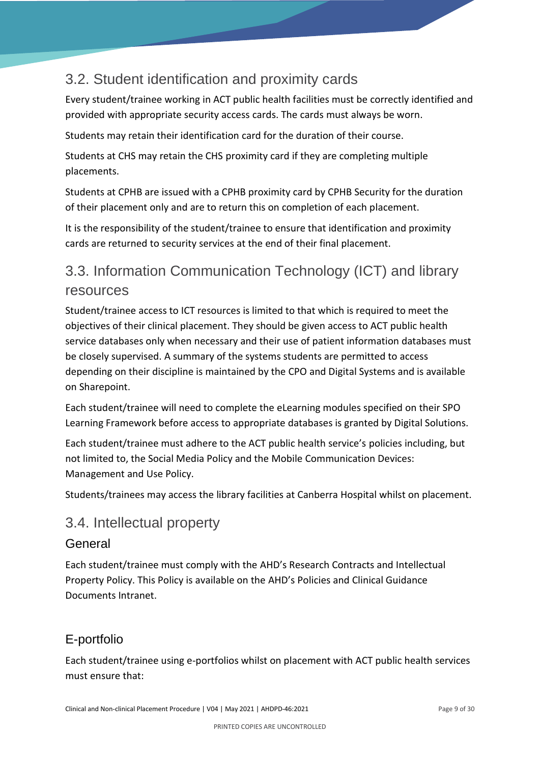### <span id="page-11-0"></span>3.2. Student identification and proximity cards

Every student/trainee working in ACT public health facilities must be correctly identified and provided with appropriate security access cards. The cards must always be worn.

Students may retain their identification card for the duration of their course.

Students at CHS may retain the CHS proximity card if they are completing multiple placements.

Students at CPHB are issued with a CPHB proximity card by CPHB Security for the duration of their placement only and are to return this on completion of each placement.

It is the responsibility of the student/trainee to ensure that identification and proximity cards are returned to security services at the end of their final placement.

### <span id="page-11-1"></span>3.3. Information Communication Technology (ICT) and library resources

Student/trainee access to ICT resources is limited to that which is required to meet the objectives of their clinical placement. They should be given access to ACT public health service databases only when necessary and their use of patient information databases must be closely supervised. A summary of the systems students are permitted to access depending on their discipline is maintained by the CPO and Digital Systems and is available on Sharepoint.

Each student/trainee will need to complete the eLearning modules specified on their SPO Learning Framework before access to appropriate databases is granted by Digital Solutions.

Each student/trainee must adhere to the ACT public health service's policies including, but not limited to, the Social Media Policy and the Mobile Communication Devices: Management and Use Policy.

Students/trainees may access the library facilities at Canberra Hospital whilst on placement.

### <span id="page-11-2"></span>3.4. Intellectual property

#### General

Each student/trainee must comply with the AHD's Research Contracts and Intellectual Property Policy. This Policy is available on the AHD's Policies and Clinical Guidance Documents Intranet.

### E-portfolio

Each student/trainee using e-portfolios whilst on placement with ACT public health services must ensure that: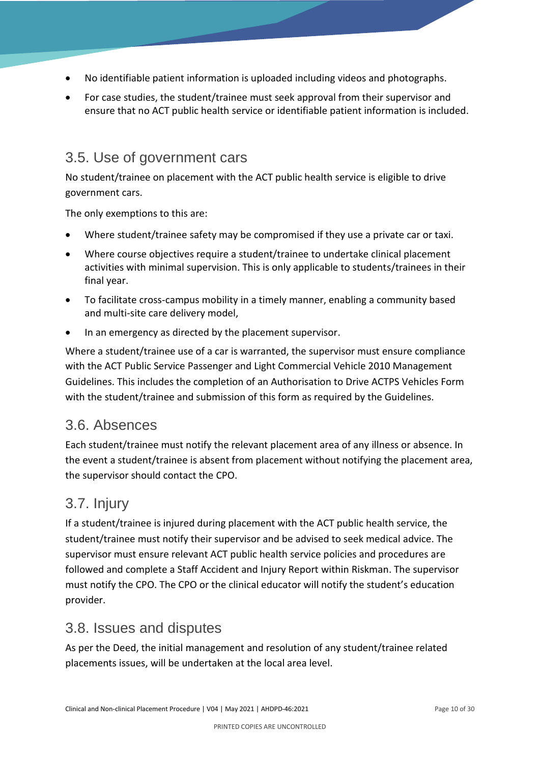- No identifiable patient information is uploaded including videos and photographs.
- For case studies, the student/trainee must seek approval from their supervisor and ensure that no ACT public health service or identifiable patient information is included.

#### <span id="page-12-0"></span>3.5. Use of government cars

No student/trainee on placement with the ACT public health service is eligible to drive government cars.

The only exemptions to this are:

- Where student/trainee safety may be compromised if they use a private car or taxi.
- Where course objectives require a student/trainee to undertake clinical placement activities with minimal supervision. This is only applicable to students/trainees in their final year.
- To facilitate cross-campus mobility in a timely manner, enabling a community based and multi-site care delivery model,
- In an emergency as directed by the placement supervisor.

Where a student/trainee use of a car is warranted, the supervisor must ensure compliance with the ACT Public Service Passenger and Light Commercial Vehicle 2010 Management Guidelines. This includes the completion of an Authorisation to Drive ACTPS Vehicles Form with the student/trainee and submission of this form as required by the Guidelines.

#### <span id="page-12-1"></span>3.6. Absences

Each student/trainee must notify the relevant placement area of any illness or absence. In the event a student/trainee is absent from placement without notifying the placement area, the supervisor should contact the CPO.

### <span id="page-12-2"></span>3.7. Injury

If a student/trainee is injured during placement with the ACT public health service, the student/trainee must notify their supervisor and be advised to seek medical advice. The supervisor must ensure relevant ACT public health service policies and procedures are followed and complete a Staff Accident and Injury Report within Riskman. The supervisor must notify the CPO. The CPO or the clinical educator will notify the student's education provider.

#### <span id="page-12-3"></span>3.8. Issues and disputes

As per the Deed, the initial management and resolution of any student/trainee related placements issues, will be undertaken at the local area level.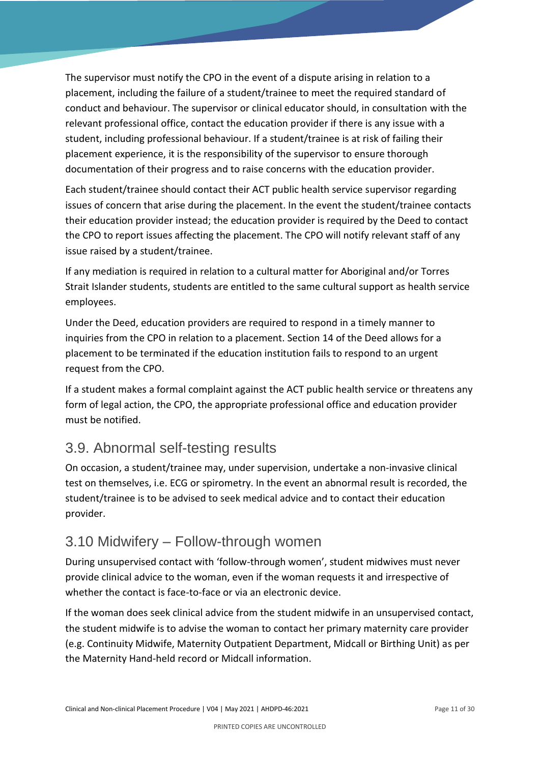The supervisor must notify the CPO in the event of a dispute arising in relation to a placement, including the failure of a student/trainee to meet the required standard of conduct and behaviour. The supervisor or clinical educator should, in consultation with the relevant professional office, contact the education provider if there is any issue with a student, including professional behaviour. If a student/trainee is at risk of failing their placement experience, it is the responsibility of the supervisor to ensure thorough documentation of their progress and to raise concerns with the education provider.

Each student/trainee should contact their ACT public health service supervisor regarding issues of concern that arise during the placement. In the event the student/trainee contacts their education provider instead; the education provider is required by the Deed to contact the CPO to report issues affecting the placement. The CPO will notify relevant staff of any issue raised by a student/trainee.

If any mediation is required in relation to a cultural matter for Aboriginal and/or Torres Strait Islander students, students are entitled to the same cultural support as health service employees.

Under the Deed, education providers are required to respond in a timely manner to inquiries from the CPO in relation to a placement. Section 14 of the Deed allows for a placement to be terminated if the education institution fails to respond to an urgent request from the CPO.

If a student makes a formal complaint against the ACT public health service or threatens any form of legal action, the CPO, the appropriate professional office and education provider must be notified.

### <span id="page-13-0"></span>3.9. Abnormal self-testing results

On occasion, a student/trainee may, under supervision, undertake a non-invasive clinical test on themselves, i.e. ECG or spirometry. In the event an abnormal result is recorded, the student/trainee is to be advised to seek medical advice and to contact their education provider.

### <span id="page-13-1"></span>3.10 Midwifery – Follow-through women

During unsupervised contact with 'follow-through women', student midwives must never provide clinical advice to the woman, even if the woman requests it and irrespective of whether the contact is face-to-face or via an electronic device.

If the woman does seek clinical advice from the student midwife in an unsupervised contact, the student midwife is to advise the woman to contact her primary maternity care provider (e.g. Continuity Midwife, Maternity Outpatient Department, Midcall or Birthing Unit) as per the Maternity Hand-held record or Midcall information.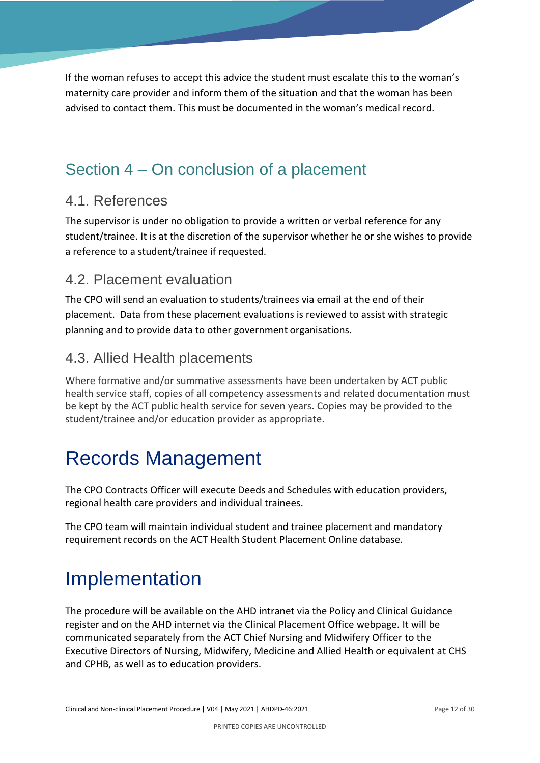If the woman refuses to accept this advice the student must escalate this to the woman's maternity care provider and inform them of the situation and that the woman has been advised to contact them. This must be documented in the woman's medical record.

### <span id="page-14-0"></span>Section 4 – On conclusion of a placement

#### <span id="page-14-1"></span>4.1. References

The supervisor is under no obligation to provide a written or verbal reference for any student/trainee. It is at the discretion of the supervisor whether he or she wishes to provide a reference to a student/trainee if requested.

### <span id="page-14-2"></span>4.2. Placement evaluation

The CPO will send an evaluation to students/trainees via email at the end of their placement. Data from these placement evaluations is reviewed to assist with strategic planning and to provide data to other government organisations.

### <span id="page-14-3"></span>4.3. Allied Health placements

Where formative and/or summative assessments have been undertaken by ACT public health service staff, copies of all competency assessments and related documentation must be kept by the ACT public health service for seven years. Copies may be provided to the student/trainee and/or education provider as appropriate.

## <span id="page-14-4"></span>Records Management

The CPO Contracts Officer will execute Deeds and Schedules with education providers, regional health care providers and individual trainees.

The CPO team will maintain individual student and trainee placement and mandatory requirement records on the ACT Health Student Placement Online database.

## <span id="page-14-5"></span>Implementation

The procedure will be available on the AHD intranet via the Policy and Clinical Guidance register and on the AHD internet via the Clinical Placement Office webpage. It will be communicated separately from the ACT Chief Nursing and Midwifery Officer to the Executive Directors of Nursing, Midwifery, Medicine and Allied Health or equivalent at CHS and CPHB, as well as to education providers.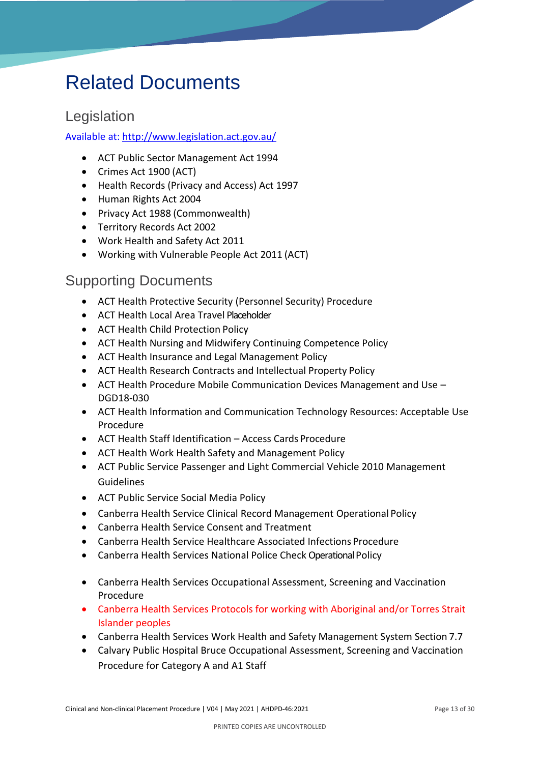## <span id="page-15-0"></span>Related Documents

### <span id="page-15-1"></span>Legislation

#### Available at:<http://www.legislation.act.gov.au/>

- ACT Public Sector Management Act 1994
- Crimes Act 1900 (ACT)
- Health Records (Privacy and Access) Act 1997
- Human Rights Act 2004
- Privacy Act 1988 (Commonwealth)
- Territory Records Act 2002
- Work Health and Safety Act 2011
- Working with Vulnerable People Act 2011 (ACT)

#### <span id="page-15-2"></span>Supporting Documents

- ACT Health Protective Security (Personnel Security) Procedure
- ACT Health Local Area Travel Placeholder
- ACT Health Child Protection Policy
- ACT Health Nursing and Midwifery Continuing Competence Policy
- ACT Health Insurance and Legal Management Policy
- ACT Health Research Contracts and Intellectual Property Policy
- ACT Health Procedure Mobile Communication Devices Management and Use DGD18-030
- ACT Health Information and Communication Technology Resources: Acceptable Use Procedure
- ACT Health Staff Identification Access Cards Procedure
- ACT Health Work Health Safety and Management Policy
- ACT Public Service Passenger and Light Commercial Vehicle 2010 Management Guidelines
- ACT Public Service Social Media Policy
- Canberra Health Service Clinical Record Management Operational Policy
- Canberra Health Service Consent and Treatment
- Canberra Health Service Healthcare Associated Infections Procedure
- Canberra Health Services National Police Check Operational Policy
- Canberra Health Services Occupational Assessment, Screening and Vaccination Procedure
- Canberra Health Services Protocols for working with Aboriginal and/or Torres Strait Islander peoples
- Canberra Health Services Work Health and Safety Management System Section 7.7
- Calvary Public Hospital Bruce [Occupational Assessment, Screening and Vaccination](http://connect.calvarycare.org.au/ID=CCID1109461)  [Procedure for Category A and A1 Staff](http://connect.calvarycare.org.au/ID=CCID1109461)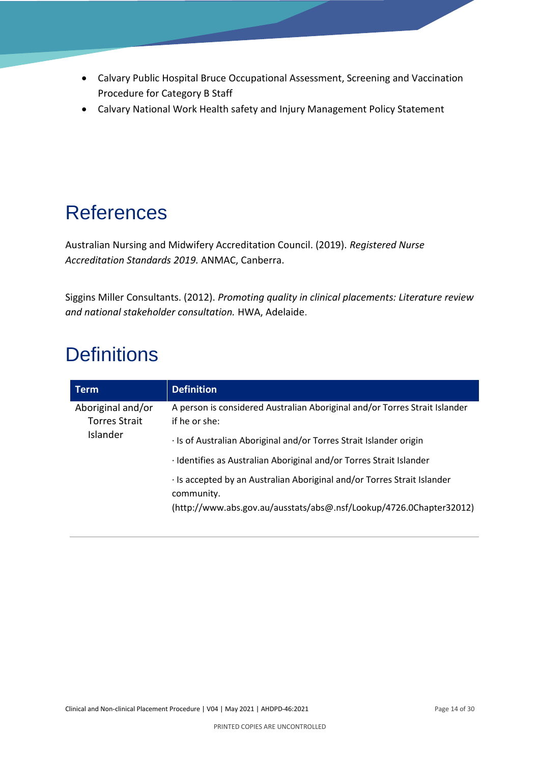- Calvary Public Hospital Bruce [Occupational Assessment, Screening and Vaccination](http://connect.calvarycare.org.au/ID=CCID1109461)  [Procedure for Category B](http://connect.calvarycare.org.au/ID=CCID1109461) Staff
- Calvary National Work Health safety and Injury Management Policy Statement

## <span id="page-16-0"></span>References

Australian Nursing and Midwifery Accreditation Council. (2019). *Registered Nurse Accreditation Standards 2019.* ANMAC, Canberra.

Siggins Miller Consultants. (2012). *[Promoting quality in clinical placements: Literature review](https://www.adea.com.au/wp-content/uploads/2013/08/Promoting-quality-in-clinical-placements-report-20130408.pdf)  [and national stakeholder consultation.](https://www.adea.com.au/wp-content/uploads/2013/08/Promoting-quality-in-clinical-placements-report-20130408.pdf)* HWA, Adelaide.

## <span id="page-16-1"></span>**Definitions**

| Term                                                         | <b>Definition</b>                                                                                                                                                                                                                        |
|--------------------------------------------------------------|------------------------------------------------------------------------------------------------------------------------------------------------------------------------------------------------------------------------------------------|
| Aboriginal and/or<br><b>Torres Strait</b><br><b>Islander</b> | A person is considered Australian Aboriginal and/or Torres Strait Islander<br>if he or she:<br>· Is of Australian Aboriginal and/or Torres Strait Islander origin<br>· Identifies as Australian Aboriginal and/or Torres Strait Islander |
|                                                              | Is accepted by an Australian Aboriginal and/or Torres Strait Islander<br>community.<br>(http://www.abs.gov.au/ausstats/abs@.nsf/Lookup/4726.0Chapter32012)                                                                               |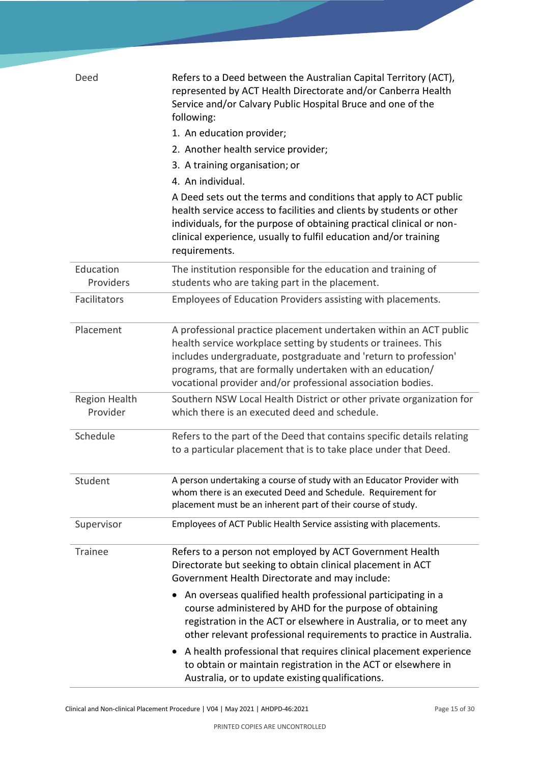| Deed                             | Refers to a Deed between the Australian Capital Territory (ACT),<br>represented by ACT Health Directorate and/or Canberra Health<br>Service and/or Calvary Public Hospital Bruce and one of the<br>following:                                                                                                                      |  |  |  |
|----------------------------------|------------------------------------------------------------------------------------------------------------------------------------------------------------------------------------------------------------------------------------------------------------------------------------------------------------------------------------|--|--|--|
|                                  | 1. An education provider;                                                                                                                                                                                                                                                                                                          |  |  |  |
|                                  | 2. Another health service provider;                                                                                                                                                                                                                                                                                                |  |  |  |
|                                  | 3. A training organisation; or                                                                                                                                                                                                                                                                                                     |  |  |  |
|                                  | 4. An individual.                                                                                                                                                                                                                                                                                                                  |  |  |  |
|                                  | A Deed sets out the terms and conditions that apply to ACT public<br>health service access to facilities and clients by students or other<br>individuals, for the purpose of obtaining practical clinical or non-<br>clinical experience, usually to fulfil education and/or training<br>requirements.                             |  |  |  |
| Education<br>Providers           | The institution responsible for the education and training of<br>students who are taking part in the placement.                                                                                                                                                                                                                    |  |  |  |
| Facilitators                     | Employees of Education Providers assisting with placements.                                                                                                                                                                                                                                                                        |  |  |  |
| Placement                        | A professional practice placement undertaken within an ACT public<br>health service workplace setting by students or trainees. This<br>includes undergraduate, postgraduate and 'return to profession'<br>programs, that are formally undertaken with an education/<br>vocational provider and/or professional association bodies. |  |  |  |
| <b>Region Health</b><br>Provider | Southern NSW Local Health District or other private organization for<br>which there is an executed deed and schedule.                                                                                                                                                                                                              |  |  |  |
| Schedule                         | Refers to the part of the Deed that contains specific details relating<br>to a particular placement that is to take place under that Deed.                                                                                                                                                                                         |  |  |  |
| Student                          | A person undertaking a course of study with an Educator Provider with<br>whom there is an executed Deed and Schedule. Requirement for<br>placement must be an inherent part of their course of study.                                                                                                                              |  |  |  |
| Supervisor                       | Employees of ACT Public Health Service assisting with placements.                                                                                                                                                                                                                                                                  |  |  |  |
| <b>Trainee</b>                   | Refers to a person not employed by ACT Government Health<br>Directorate but seeking to obtain clinical placement in ACT<br>Government Health Directorate and may include:                                                                                                                                                          |  |  |  |
|                                  | An overseas qualified health professional participating in a<br>course administered by AHD for the purpose of obtaining<br>registration in the ACT or elsewhere in Australia, or to meet any<br>other relevant professional requirements to practice in Australia.                                                                 |  |  |  |
|                                  | A health professional that requires clinical placement experience<br>$\bullet$<br>to obtain or maintain registration in the ACT or elsewhere in<br>Australia, or to update existing qualifications.                                                                                                                                |  |  |  |

Clinical and Non-clinical Placement Procedure | V04 | May 2021 | AHDPD-46:2021 Page 15 01 30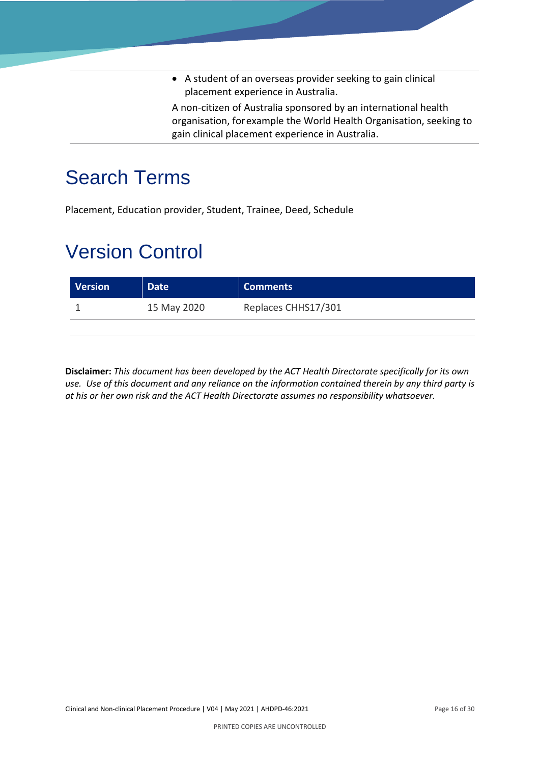• A student of an overseas provider seeking to gain clinical placement experience in Australia.

A non-citizen of Australia sponsored by an international health organisation, forexample the World Health Organisation, seeking to gain clinical placement experience in Australia.

## <span id="page-18-0"></span>Search Terms

Placement, Education provider, Student, Trainee, Deed, Schedule

# <span id="page-18-1"></span>Version Control

| Version | Date <sup>1</sup> | Comments            |
|---------|-------------------|---------------------|
|         | 15 May 2020       | Replaces CHHS17/301 |
|         |                   |                     |

**Disclaimer:** *This document has been developed by the ACT Health Directorate specifically for its own use. Use of this document and any reliance on the information contained therein by any third party is at his or her own risk and the ACT Health Directorate assumes no responsibility whatsoever.*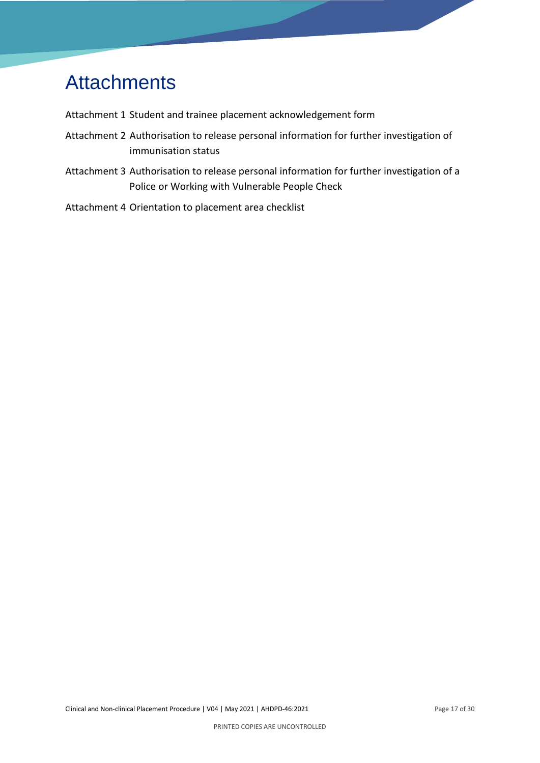# <span id="page-19-0"></span>**Attachments**

Attachment 1 Student and trainee placement acknowledgement form

- Attachment 2 Authorisation to release personal information for further investigation of immunisation status
- Attachment 3 Authorisation to release personal information for further investigation of a Police or Working with Vulnerable People Check
- Attachment 4 Orientation to placement area checklist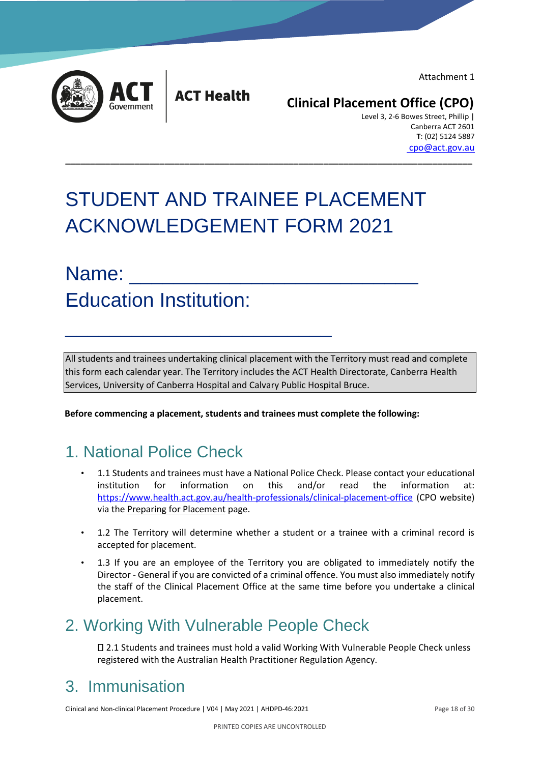Attachment 1



**ACT Health** 

### **Clinical Placement Office (CPO)**

 Level 3, 2-6 Bowes Street, Phillip | Canberra ACT 2601  **T**: (02) 5124 5887 cpo@act.gov.au

# STUDENT AND TRAINEE PLACEMENT ACKNOWLEDGEMENT FORM 2021

**\_\_\_\_\_\_\_\_\_\_\_\_\_\_\_\_\_\_\_\_\_\_\_\_\_\_\_\_\_\_\_\_\_\_\_\_\_\_\_\_\_\_\_\_\_\_\_\_\_\_\_\_\_\_\_\_\_\_\_\_\_\_\_\_\_\_\_\_\_\_\_\_\_\_\_\_\_\_\_\_\_\_**

# Name: Education Institution:

 $\overline{\phantom{a}}$  , we can assume that the contract of  $\overline{\phantom{a}}$ 

All students and trainees undertaking clinical placement with the Territory must read and complete this form each calendar year. The Territory includes the ACT Health Directorate, Canberra Health Services, University of Canberra Hospital and Calvary Public Hospital Bruce.

**Before commencing a placement, students and trainees must complete the following:** 

## 1. National Police Check

- 1.1 Students and trainees must have a National Police Check. Please contact your educational institution for information on this and/or read the information at: <https://www.health.act.gov.au/health-professionals/clinical-placement-office> [\(C](http://www.health.act.gov.au/c/health?a=sp&pid=1216163073)PO website) via the Preparing for Placement page.
- 1.2 The Territory will determine whether a student or a trainee with a criminal record is accepted for placement.
- 1.3 If you are an employee of the Territory you are obligated to immediately notify the Director - General if you are convicted of a criminal offence. You must also immediately notify the staff of the Clinical Placement Office at the same time before you undertake a clinical placement.

## 2. Working With Vulnerable People Check

2.1 Students and trainees must hold a valid Working With Vulnerable People Check unless registered with the Australian Health Practitioner Regulation Agency.

## 3. Immunisation

Clinical and Non-clinical Placement Procedure | V04 | May 2021 | AHDPD-46:2021 Page 18 of 30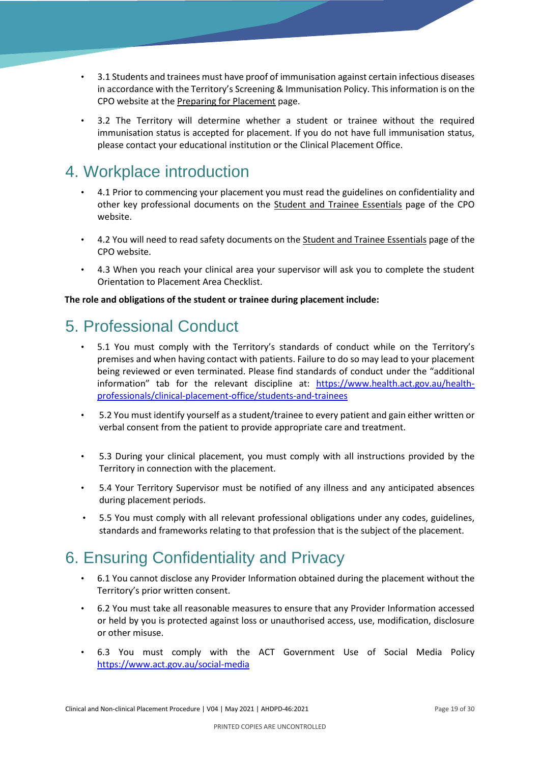- 3.1 Students and trainees must have proof of immunisation against certain infectious diseases in accordance with the Territory's Screening & Immunisation Policy. This information is on the CPO website at the Preparing for Placement page.
- 3.2 The Territory will determine whether a student or trainee without the required immunisation status is accepted for placement. If you do not have full immunisation status, please contact your educational institution or the Clinical Placement Office.

## 4. Workplace introduction

- 4.1 Prior to commencing your placement you must read the guidelines on confidentiality and other key professional documents on the Student and Trainee Essentials page of the CPO website.
- 4.2 You will need to read safety documents on the Student and Trainee Essentials page of the CPO website.
- 4.3 When you reach your clinical area your supervisor will ask you to complete the student Orientation to Placement Area Checklist.

#### **The role and obligations of the student or trainee during placement include:**

## 5. Professional Conduct

- 5.1 You must comply with the Territory's standards of conduct while on the Territory's premises and when having contact with patients. Failure to do so may lead to your placement being reviewed or even terminated. Please find standards of conduct under the "additional information" tab for the relevant discipline at: [https://www.health.act.gov.au/health](https://www.health.act.gov.au/health-professionals/clinical-placement-office/students-and-trainees)[professionals/clinical-placement-office/students-and-trainees](https://www.health.act.gov.au/health-professionals/clinical-placement-office/students-and-trainees)
- 5.2 You must identify yourself as a student/trainee to every patient and gain either written or verbal consent from the patient to provide appropriate care and treatment.
- 5.3 During your clinical placement, you must comply with all instructions provided by the Territory in connection with the placement.
- 5.4 Your Territory Supervisor must be notified of any illness and any anticipated absences during placement periods.
- 5.5 You must comply with all relevant professional obligations under any codes, guidelines, standards and frameworks relating to that profession that is the subject of the placement.

## 6. Ensuring Confidentiality and Privacy

- 6.1 You cannot disclose any Provider Information obtained during the placement without the Territory's prior written consent.
- 6.2 You must take all reasonable measures to ensure that any Provider Information accessed or held by you is protected against loss or unauthorised access, use, modification, disclosure or other misuse.
- 6.3 You must comply with the ACT Government Use of Social Media Policy <https://www.act.gov.au/social-media>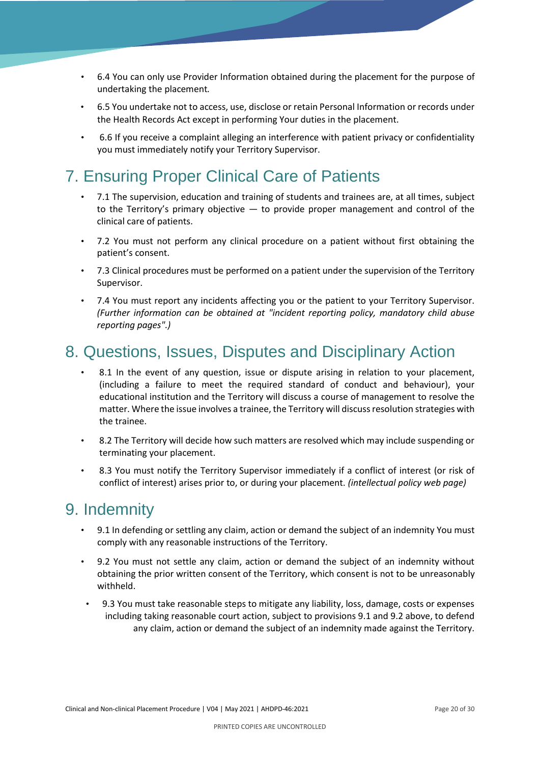- 6.4 You can only use Provider Information obtained during the placement for the purpose of undertaking the placement*.*
- 6.5 You undertake not to access, use, disclose or retain Personal Information or records under the Health Records Act except in performing Your duties in the placement.
- 6.6 If you receive a complaint alleging an interference with patient privacy or confidentiality you must immediately notify your Territory Supervisor.

## 7. Ensuring Proper Clinical Care of Patients

- 7.1 The supervision, education and training of students and trainees are, at all times, subject to the Territory's primary objective  $-$  to provide proper management and control of the clinical care of patients.
- 7.2 You must not perform any clinical procedure on a patient without first obtaining the patient's consent.
- 7.3 Clinical procedures must be performed on a patient under the supervision of the Territory Supervisor.
- 7.4 You must report any incidents affecting you or the patient to your Territory Supervisor. *(Further information can be obtained at "incident reporting policy, mandatory child abuse reporting pages".)*

### 8. Questions, Issues, Disputes and Disciplinary Action

- 8.1 In the event of any question, issue or dispute arising in relation to your placement, (including a failure to meet the required standard of conduct and behaviour), your educational institution and the Territory will discuss a course of management to resolve the matter. Where the issue involves a trainee, the Territory will discuss resolution strategies with the trainee.
- 8.2 The Territory will decide how such matters are resolved which may include suspending or terminating your placement.
- 8.3 You must notify the Territory Supervisor immediately if a conflict of interest (or risk of conflict of interest) arises prior to, or during your placement. *(intellectual policy web page)*

### 9. Indemnity

- 9.1 In defending or settling any claim, action or demand the subject of an indemnity You must comply with any reasonable instructions of the Territory.
- 9.2 You must not settle any claim, action or demand the subject of an indemnity without obtaining the prior written consent of the Territory, which consent is not to be unreasonably withheld.
- 9.3 You must take reasonable steps to mitigate any liability, loss, damage, costs or expenses including taking reasonable court action, subject to provisions 9.1 and 9.2 above, to defend any claim, action or demand the subject of an indemnity made against the Territory.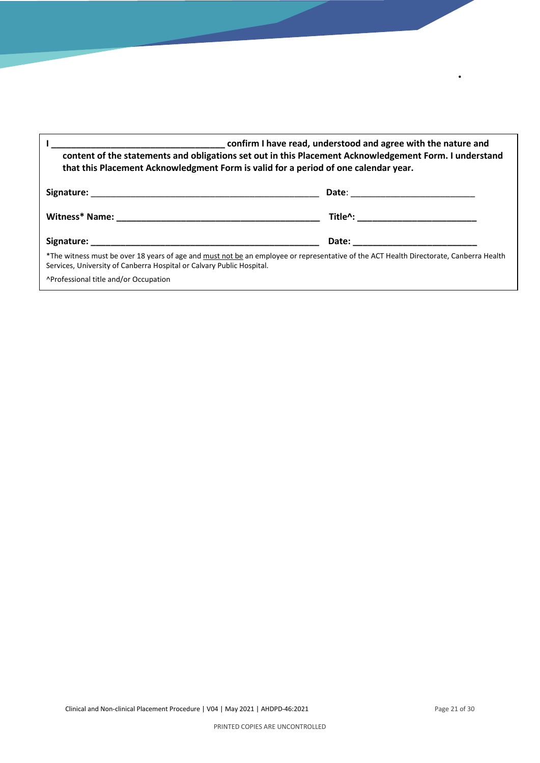| content of the statements and obligations set out in this Placement Acknowledgement Form. I understand<br>that this Placement Acknowledgment Form is valid for a period of one calendar year.                   |                                         |  |  |  |
|-----------------------------------------------------------------------------------------------------------------------------------------------------------------------------------------------------------------|-----------------------------------------|--|--|--|
|                                                                                                                                                                                                                 |                                         |  |  |  |
|                                                                                                                                                                                                                 | Title^: _______________________________ |  |  |  |
|                                                                                                                                                                                                                 |                                         |  |  |  |
| *The witness must be over 18 years of age and must not be an employee or representative of the ACT Health Directorate, Canberra Health<br>Services, University of Canberra Hospital or Calvary Public Hospital. |                                         |  |  |  |
| ^Professional title and/or Occupation                                                                                                                                                                           |                                         |  |  |  |

•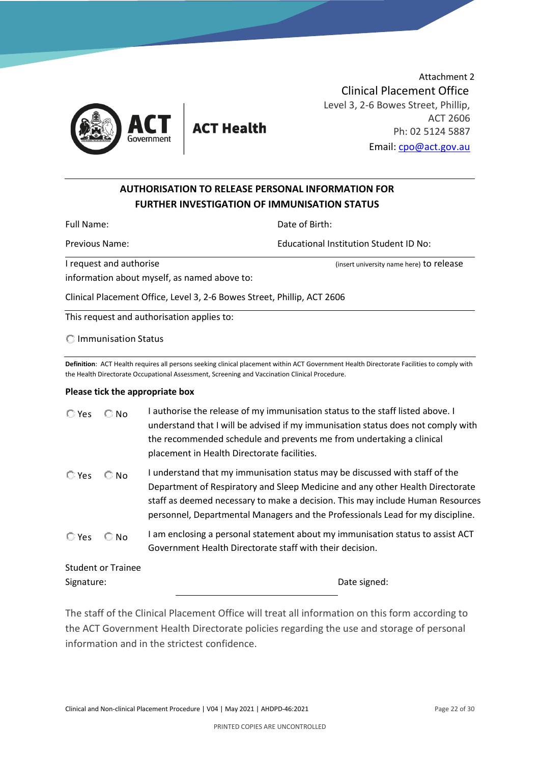

**ACT Health** 

Attachment 2 Clinical Placement Office Level 3, 2-6 Bowes Street, Phillip, ACT 2606 Ph: 02 5124 5887 Email: [cpo@act.gov.au](mailto:cpo@act.gov.au)

#### **AUTHORISATION TO RELEASE PERSONAL INFORMATION FOR FURTHER INVESTIGATION OF IMMUNISATION STATUS**

Full Name: Contract the Contract of Birth: Date of Birth:

Previous Name: Educational Institution Student ID No:

I request and authorise (insert university name here) to release

information about myself, as named above to:

Clinical Placement Office, Level 3, 2-6 Bowes Street, Phillip, ACT 2606

This request and authorisation applies to:

Immunisation Status

**Definition**: ACT Health requires all persons seeking clinical placement within ACT Government Health Directorate Facilities to comply with the Health Directorate Occupational Assessment, Screening and Vaccination Clinical Procedure.

#### **Please tick the appropriate box**

| $\mathbb{C}$ Yes | $\mathbb{C}$ No           | I authorise the release of my immunisation status to the staff listed above. I<br>understand that I will be advised if my immunisation status does not comply with<br>the recommended schedule and prevents me from undertaking a clinical<br>placement in Health Directorate facilities.                                        |
|------------------|---------------------------|----------------------------------------------------------------------------------------------------------------------------------------------------------------------------------------------------------------------------------------------------------------------------------------------------------------------------------|
| $\mathbb{C}$ Yes | $\mathbb{C}$ No           | I understand that my immunisation status may be discussed with staff of the<br>Department of Respiratory and Sleep Medicine and any other Health Directorate<br>staff as deemed necessary to make a decision. This may include Human Resources<br>personnel, Departmental Managers and the Professionals Lead for my discipline. |
| $\mathbb{C}$ Yes | $\mathbb{C}$ No           | I am enclosing a personal statement about my immunisation status to assist ACT<br>Government Health Directorate staff with their decision.                                                                                                                                                                                       |
| Signature:       | <b>Student or Trainee</b> | Date signed:                                                                                                                                                                                                                                                                                                                     |
|                  |                           |                                                                                                                                                                                                                                                                                                                                  |

The staff of the Clinical Placement Office will treat all information on this form according to the ACT Government Health Directorate policies regarding the use and storage of personal information and in the strictest confidence.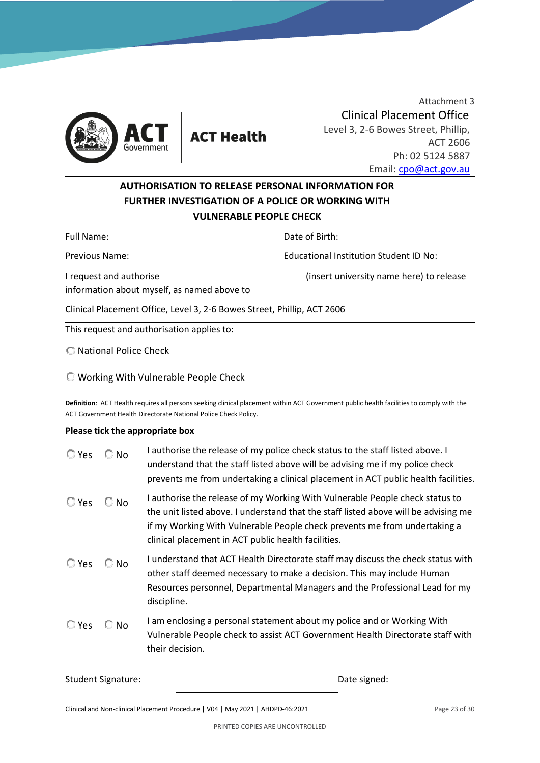

Attachment 3 Clinical Placement Office Level 3, 2-6 Bowes Street, Phillip, ACT 2606 Ph: 02 5124 5887 Email: [cpo@act.gov.au](mailto:cpo@act.gov.au)

#### **AUTHORISATION TO RELEASE PERSONAL INFORMATION FOR FURTHER INVESTIGATION OF A POLICE OR WORKING WITH VULNERABLE PEOPLE CHECK**

Full Name: **Date of Birth: Date of Birth:** Previous Name: Educational Institution Student ID No: I request and authorise (insert university name here) to release information about myself, as named above to Clinical Placement Office, Level 3, 2-6 Bowes Street, Phillip, ACT 2606 This request and authorisation applies to:

National Police Check

Working With Vulnerable People Check

**Definition**: ACT Health requires all persons seeking clinical placement within ACT Government public health facilities to comply with the ACT Government Health Directorate National Police Check Policy.

#### **Please tick the appropriate box**

| $\mathbb{C}$ Yes | $\mathbb{C}$ No | I authorise the release of my police check status to the staff listed above. I<br>understand that the staff listed above will be advising me if my police check<br>prevents me from undertaking a clinical placement in ACT public health facilities.                                                   |
|------------------|-----------------|---------------------------------------------------------------------------------------------------------------------------------------------------------------------------------------------------------------------------------------------------------------------------------------------------------|
| $\mathbb{C}$ Yes | $\mathbb{C}$ No | I authorise the release of my Working With Vulnerable People check status to<br>the unit listed above. I understand that the staff listed above will be advising me<br>if my Working With Vulnerable People check prevents me from undertaking a<br>clinical placement in ACT public health facilities. |
| $\mathbb{C}$ Yes | $\mathbb{C}$ No | I understand that ACT Health Directorate staff may discuss the check status with<br>other staff deemed necessary to make a decision. This may include Human<br>Resources personnel, Departmental Managers and the Professional Lead for my<br>discipline.                                               |
| $\mathbb{C}$ Yes | $\mathbb{C}$ No | I am enclosing a personal statement about my police and or Working With<br>Vulnerable People check to assist ACT Government Health Directorate staff with<br>their decision.                                                                                                                            |

Student Signature: Date signed: Date signed:

Clinical and Non-clinical Placement Procedure | V04 | May 2021 | AHDPD-46:2021 Page 23 of 30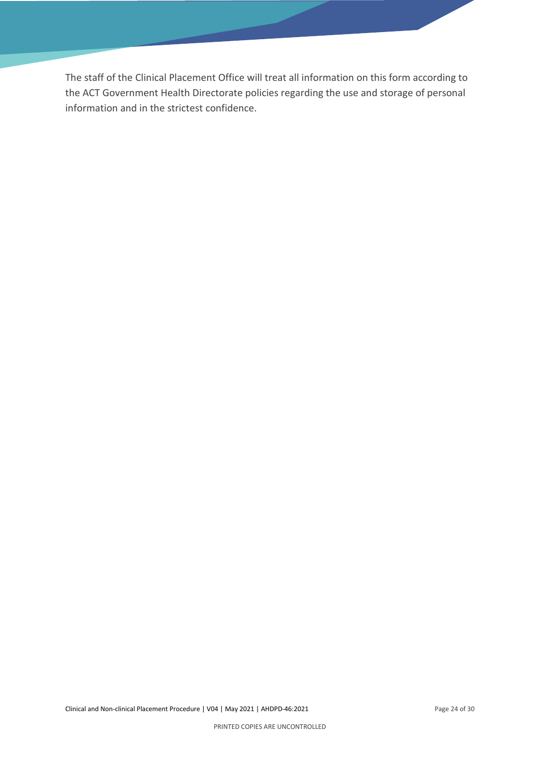The staff of the Clinical Placement Office will treat all information on this form according to the ACT Government Health Directorate policies regarding the use and storage of personal information and in the strictest confidence.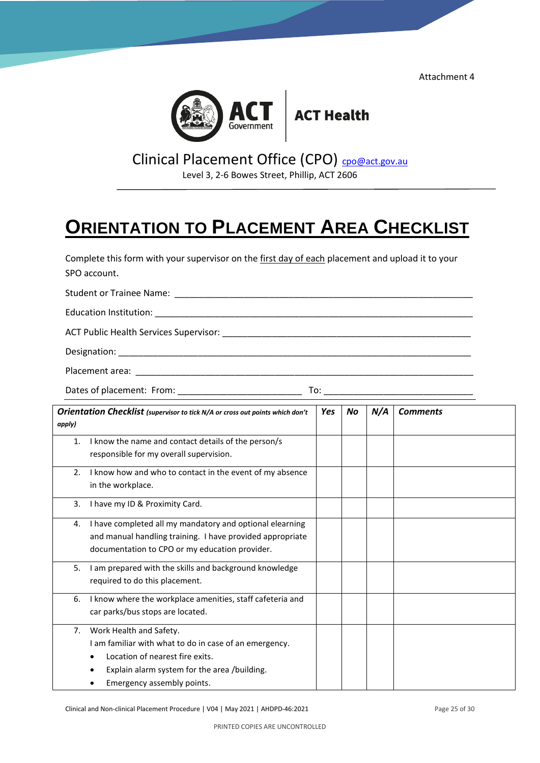Attachment 4



## Clinical Placement Office (CPO) [cpo@act.gov.au](mailto:cpo@act.gov.au)

Level 3, 2-6 Bowes Street, Phillip, ACT 2606

## **ORIENTATION TO PLACEMENT AREA CHECKLIST**

Complete this form with your supervisor on the first day of each placement and upload it to your

| SPO account.                                                                            |     |    |     |                 |  |  |
|-----------------------------------------------------------------------------------------|-----|----|-----|-----------------|--|--|
|                                                                                         |     |    |     |                 |  |  |
|                                                                                         |     |    |     |                 |  |  |
|                                                                                         |     |    |     |                 |  |  |
|                                                                                         |     |    |     |                 |  |  |
|                                                                                         |     |    |     |                 |  |  |
|                                                                                         |     |    |     |                 |  |  |
| Orientation Checklist (supervisor to tick N/A or cross out points which don't<br>apply) | Yes | No | N/A | <b>Comments</b> |  |  |
| I know the name and contact details of the nerson/s<br>$\mathbf{1}$                     |     |    |     |                 |  |  |

| 1. | I know the name and contact details of the person/s<br>responsible for my overall supervision. |  |  |
|----|------------------------------------------------------------------------------------------------|--|--|
| 2. | I know how and who to contact in the event of my absence                                       |  |  |
|    | in the workplace.                                                                              |  |  |
| 3. | I have my ID & Proximity Card.                                                                 |  |  |
| 4. | I have completed all my mandatory and optional elearning                                       |  |  |
|    | and manual handling training. I have provided appropriate                                      |  |  |
|    | documentation to CPO or my education provider.                                                 |  |  |
| 5. | I am prepared with the skills and background knowledge                                         |  |  |
|    | required to do this placement.                                                                 |  |  |
| 6. | I know where the workplace amenities, staff cafeteria and                                      |  |  |
|    | car parks/bus stops are located.                                                               |  |  |
| 7. | Work Health and Safety.                                                                        |  |  |
|    | I am familiar with what to do in case of an emergency.                                         |  |  |
|    | Location of nearest fire exits.                                                                |  |  |
|    | Explain alarm system for the area /building.                                                   |  |  |
|    | Emergency assembly points.                                                                     |  |  |